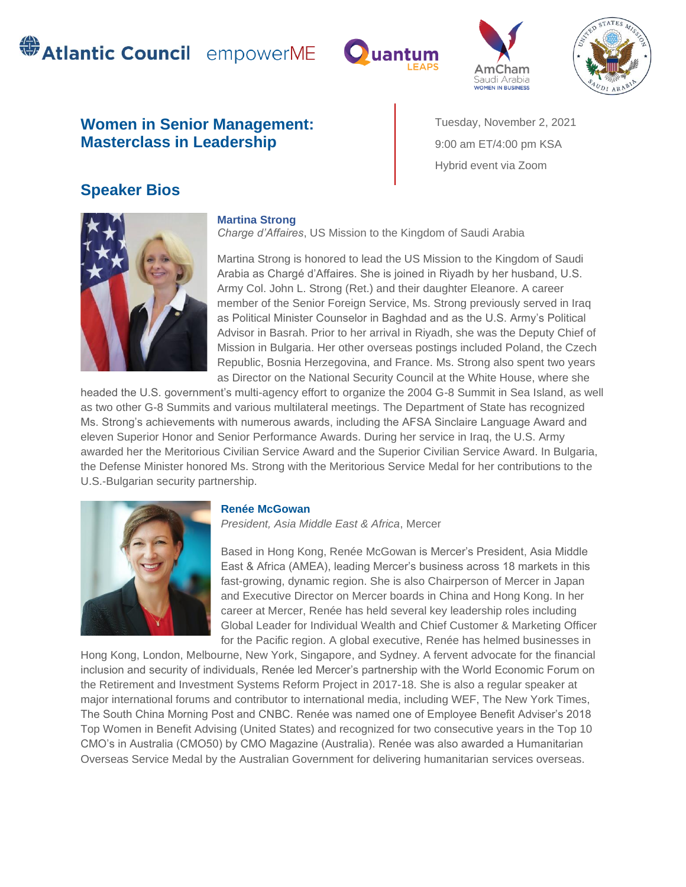# **SAtlantic Council** empowerME







## **Women in Senior Management: Masterclass in Leadership**

Tuesday, November 2, 2021 9:00 am ET/4:00 pm KSA Hybrid event via Zoom

## **Speaker Bios**



#### **Martina Strong**

*Charge d'Affaires*, US Mission to the Kingdom of Saudi Arabia

Martina Strong is honored to lead the US Mission to the Kingdom of Saudi Arabia as Chargé d'Affaires. She is joined in Riyadh by her husband, U.S. Army Col. John L. Strong (Ret.) and their daughter Eleanore. A career member of the Senior Foreign Service, Ms. Strong previously served in Iraq as Political Minister Counselor in Baghdad and as the U.S. Army's Political Advisor in Basrah. Prior to her arrival in Riyadh, she was the Deputy Chief of Mission in Bulgaria. Her other overseas postings included Poland, the Czech Republic, Bosnia Herzegovina, and France. Ms. Strong also spent two years as Director on the National Security Council at the White House, where she

headed the U.S. government's multi-agency effort to organize the 2004 G-8 Summit in Sea Island, as well as two other G-8 Summits and various multilateral meetings. The Department of State has recognized Ms. Strong's achievements with numerous awards, including the AFSA Sinclaire Language Award and eleven Superior Honor and Senior Performance Awards. During her service in Iraq, the U.S. Army awarded her the Meritorious Civilian Service Award and the Superior Civilian Service Award. In Bulgaria, the Defense Minister honored Ms. Strong with the Meritorious Service Medal for her contributions to the U.S.-Bulgarian security partnership.



#### **Renée McGowan**

*President, Asia Middle East & Africa*, Mercer

Based in Hong Kong, Renée McGowan is Mercer's President, Asia Middle East & Africa (AMEA), leading Mercer's business across 18 markets in this fast-growing, dynamic region. She is also Chairperson of Mercer in Japan and Executive Director on Mercer boards in China and Hong Kong. In her career at Mercer, Renée has held several key leadership roles including Global Leader for Individual Wealth and Chief Customer & Marketing Officer for the Pacific region. A global executive, Renée has helmed businesses in

Hong Kong, London, Melbourne, New York, Singapore, and Sydney. A fervent advocate for the financial inclusion and security of individuals, Renée led Mercer's partnership with the World Economic Forum on the Retirement and Investment Systems Reform Project in 2017-18. She is also a regular speaker at major international forums and contributor to international media, including WEF, The New York Times, The South China Morning Post and CNBC. Renée was named one of Employee Benefit Adviser's 2018 Top Women in Benefit Advising (United States) and recognized for two consecutive years in the Top 10 CMO's in Australia (CMO50) by CMO Magazine (Australia). Renée was also awarded a Humanitarian Overseas Service Medal by the Australian Government for delivering humanitarian services overseas.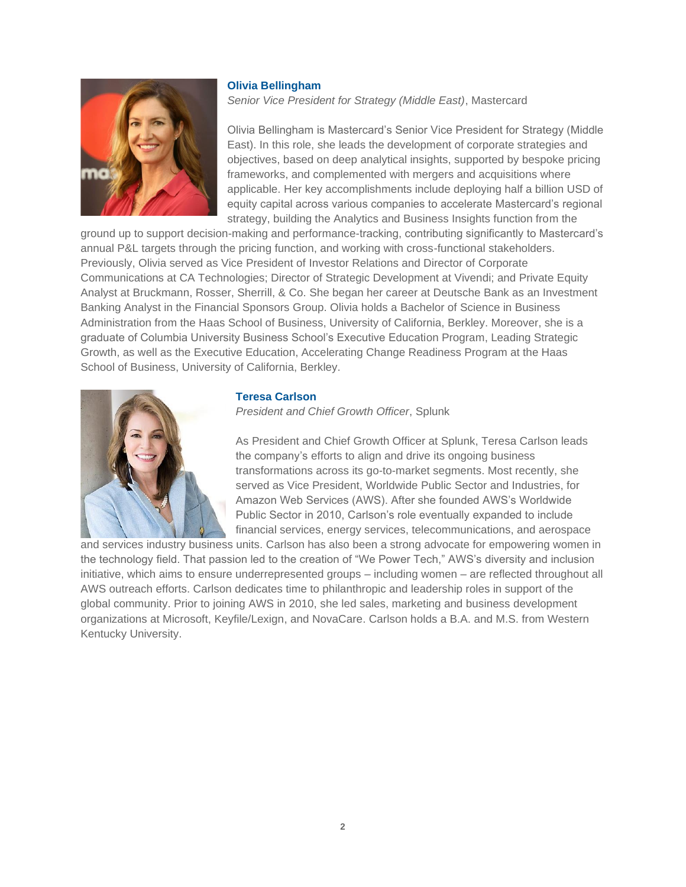

#### **Olivia Bellingham**

*Senior Vice President for Strategy (Middle East)*, Mastercard

Olivia Bellingham is Mastercard's Senior Vice President for Strategy (Middle East). In this role, she leads the development of corporate strategies and objectives, based on deep analytical insights, supported by bespoke pricing frameworks, and complemented with mergers and acquisitions where applicable. Her key accomplishments include deploying half a billion USD of equity capital across various companies to accelerate Mastercard's regional strategy, building the Analytics and Business Insights function from the

ground up to support decision-making and performance-tracking, contributing significantly to Mastercard's annual P&L targets through the pricing function, and working with cross-functional stakeholders. Previously, Olivia served as Vice President of Investor Relations and Director of Corporate Communications at CA Technologies; Director of Strategic Development at Vivendi; and Private Equity Analyst at Bruckmann, Rosser, Sherrill, & Co. She began her career at Deutsche Bank as an Investment Banking Analyst in the Financial Sponsors Group. Olivia holds a Bachelor of Science in Business Administration from the Haas School of Business, University of California, Berkley. Moreover, she is a graduate of Columbia University Business School's Executive Education Program, Leading Strategic Growth, as well as the Executive Education, Accelerating Change Readiness Program at the Haas School of Business, University of California, Berkley.



#### **Teresa Carlson**

*President and Chief Growth Officer*, Splunk

As President and Chief Growth Officer at Splunk, Teresa Carlson leads the company's efforts to align and drive its ongoing business transformations across its go-to-market segments. Most recently, she served as Vice President, Worldwide Public Sector and Industries, for Amazon Web Services (AWS). After she founded AWS's Worldwide Public Sector in 2010, Carlson's role eventually expanded to include financial services, energy services, telecommunications, and aerospace

and services industry business units. Carlson has also been a strong advocate for empowering women in the technology field. That passion led to the creation of "We Power Tech," AWS's diversity and inclusion initiative, which aims to ensure underrepresented groups – including women – are reflected throughout all AWS outreach efforts. Carlson dedicates time to philanthropic and leadership roles in support of the global community. Prior to joining AWS in 2010, she led sales, marketing and business development organizations at Microsoft, Keyfile/Lexign, and NovaCare. Carlson holds a B.A. and M.S. from Western Kentucky University.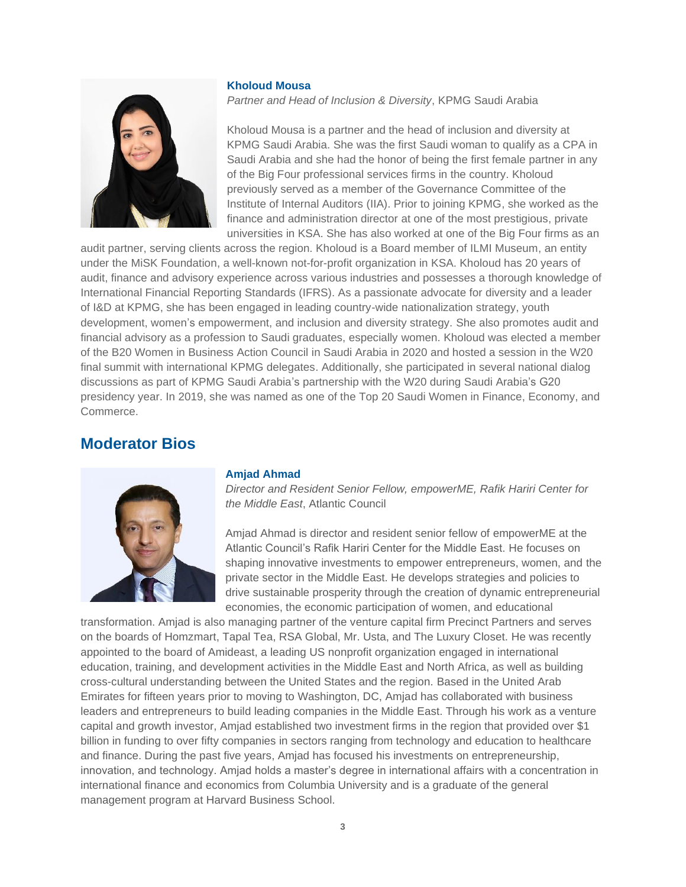#### **Kholoud Mousa**



*Partner and Head of Inclusion & Diversity*, KPMG Saudi Arabia

Kholoud Mousa is a partner and the head of inclusion and diversity at KPMG Saudi Arabia. She was the first Saudi woman to qualify as a CPA in Saudi Arabia and she had the honor of being the first female partner in any of the Big Four professional services firms in the country. Kholoud previously served as a member of the Governance Committee of the Institute of Internal Auditors (IIA). Prior to joining KPMG, she worked as the finance and administration director at one of the most prestigious, private universities in KSA. She has also worked at one of the Big Four firms as an

audit partner, serving clients across the region. Kholoud is a Board member of ILMI Museum, an entity under the MiSK Foundation, a well-known not-for-profit organization in KSA. Kholoud has 20 years of audit, finance and advisory experience across various industries and possesses a thorough knowledge of International Financial Reporting Standards (IFRS). As a passionate advocate for diversity and a leader of I&D at KPMG, she has been engaged in leading country-wide nationalization strategy, youth development, women's empowerment, and inclusion and diversity strategy. She also promotes audit and financial advisory as a profession to Saudi graduates, especially women. Kholoud was elected a member of the B20 Women in Business Action Council in Saudi Arabia in 2020 and hosted a session in the W20 final summit with international KPMG delegates. Additionally, she participated in several national dialog discussions as part of KPMG Saudi Arabia's partnership with the W20 during Saudi Arabia's G20 presidency year. In 2019, she was named as one of the Top 20 Saudi Women in Finance, Economy, and Commerce.

### **Moderator Bios**



#### **Amjad Ahmad**

*Director and Resident Senior Fellow, empowerME, Rafik Hariri Center for the Middle East*, Atlantic Council

Amjad Ahmad is director and resident senior fellow of empowerME at the Atlantic Council's Rafik Hariri Center for the Middle East. He focuses on shaping innovative investments to empower entrepreneurs, women, and the private sector in the Middle East. He develops strategies and policies to drive sustainable prosperity through the creation of dynamic entrepreneurial economies, the economic participation of women, and educational

transformation. Amjad is also managing partner of the venture capital firm Precinct Partners and serves on the boards of Homzmart, Tapal Tea, RSA Global, Mr. Usta, and The Luxury Closet. He was recently appointed to the board of Amideast, a leading US nonprofit organization engaged in international education, training, and development activities in the Middle East and North Africa, as well as building cross-cultural understanding between the United States and the region. Based in the United Arab Emirates for fifteen years prior to moving to Washington, DC, Amjad has collaborated with business leaders and entrepreneurs to build leading companies in the Middle East. Through his work as a venture capital and growth investor, Amjad established two investment firms in the region that provided over \$1 billion in funding to over fifty companies in sectors ranging from technology and education to healthcare and finance. During the past five years, Amjad has focused his investments on entrepreneurship, innovation, and technology. Amjad holds a master's degree in international affairs with a concentration in international finance and economics from Columbia University and is a graduate of the general management program at Harvard Business School.